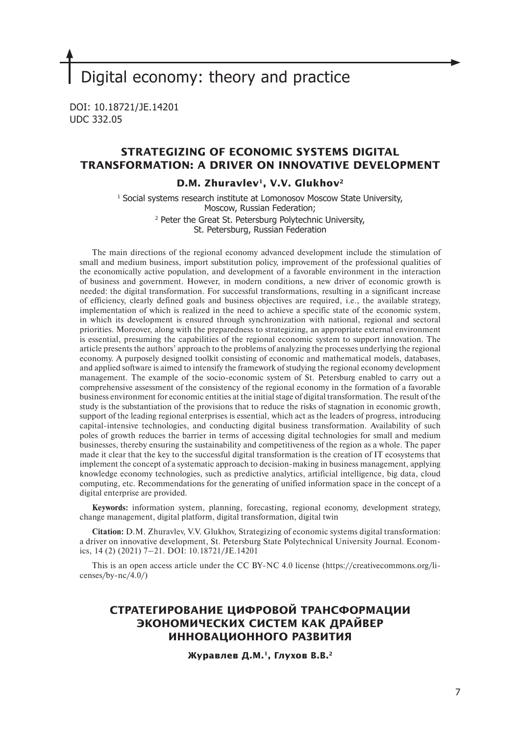# Digital economy: theory and practice

DOI: 10.18721/JE.14201 UDC 332.05

## **STRATEGIZING OF ECONOMIC SYSTEMS DIGITAL TRANSFORMATION: A DRIVER ON INNOVATIVE DEVELOPMENT**

## **D.M. Zhuravlev1, V.V. Glukhov2**

1 Social systems research institute at Lomonosov Moscow State University, Moscow, Russian Federation; 2 Peter the Great St. Petersburg Polytechnic University, St. Petersburg, Russian Federation

The main directions of the regional economy advanced development include the stimulation of small and medium business, import substitution policy, improvement of the professional qualities of the economically active population, and development of a favorable environment in the interaction of business and government. However, in modern conditions, a new driver of economic growth is needed: the digital transformation. For successful transformations, resulting in a significant increase of efficiency, clearly defined goals and business objectives are required, i.e., the available strategy, implementation of which is realized in the need to achieve a specific state of the economic system, in which its development is ensured through synchronization with national, regional and sectoral priorities. Moreover, along with the preparedness to strategizing, an appropriate external environment is essential, presuming the capabilities of the regional economic system to support innovation. The article presents the authors' approach to the problems of analyzing the processes underlying the regional economy. A purposely designed toolkit consisting of economic and mathematical models, databases, and applied software is aimed to intensify the framework of studying the regional economy development management. The example of the socio-economic system of St. Petersburg enabled to carry out a comprehensive assessment of the consistency of the regional economy in the formation of a favorable business environment for economic entities at the initial stage of digital transformation. The result of the study is the substantiation of the provisions that to reduce the risks of stagnation in economic growth, support of the leading regional enterprises is essential, which act as the leaders of progress, introducing capital-intensive technologies, and conducting digital business transformation. Availability of such poles of growth reduces the barrier in terms of accessing digital technologies for small and medium businesses, thereby ensuring the sustainability and competitiveness of the region as a whole. The paper made it clear that the key to the successful digital transformation is the creation of IT ecosystems that implement the concept of a systematic approach to decision-making in business management, applying knowledge economy technologies, such as predictive analytics, artificial intelligence, big data, cloud computing, etc. Recommendations for the generating of unified information space in the concept of a digital enterprise are provided.

**Keywords:** information system, planning, forecasting, regional economy, development strategy, change management, digital platform, digital transformation, digital twin

**Citation:** D.M. Zhuravlev, V.V. Glukhov, Strategizing of economic systems digital transformation: a driver on innovative development, St. Petersburg State Polytechnical University Journal. Economics, 14 (2) (2021) 7–21. DOI: 10.18721/JE.14201

This is an open access article under the CC BY-NC 4.0 license (https://creativecommons.org/licenses/by-nc/4.0/)

# **СТРАТЕГИРОВАНИЕ ЦИФРОВОЙ ТРАНСФОРМАЦИИ ЭКОНОМИЧЕСКИХ СИСТЕМ КАК ДРАЙВЕР ИННОВАЦИОННОГО РАЗВИТИЯ**

**Журавлев Д.М.1, Глухов В.В.2**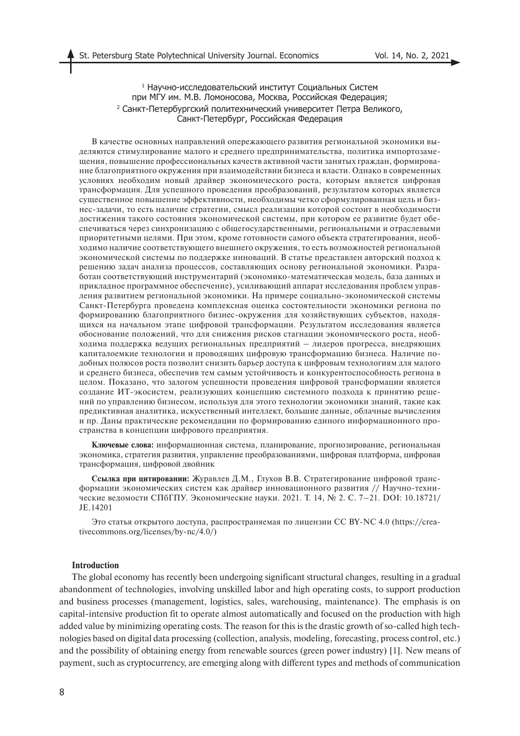## 1 Научно-исследовательский институт Социальных Систем при МГУ им. М.В. Ломоносова, Москва, Российская Федерация; 2 Санкт-Петербургский политехнический университет Петра Великого, Санкт-Петербург, Российская Федерация

В качестве основных направлений опережающего развития региональной экономики выделяются стимулирование малого и среднего предпринимательства, политика импортозамещения, повышение профессиональных качеств активной части занятых граждан, формирование благоприятного окружения при взаимодействии бизнеса и власти. Однако в современных условиях необходим новый драйвер экономического роста, которым является цифровая трансформация. Для успешного проведения преобразований, результатом которых является существенное повышение эффективности, необходимы четко сформулированная цель и бизнес-задачи, то есть наличие стратегии, смысл реализации которой состоит в необходимости достижения такого состояния экономической системы, при котором ее развитие будет обеспечиваться через синхронизацию с общегосударственными, региональными и отраслевыми приоритетными целями. При этом, кроме готовности самого объекта стратегирования, необходимо наличие соответствующего внешнего окружения, то есть возможностей региональной экономической системы по поддержке инноваций. В статье представлен авторский подход к решению задач анализа процессов, составляющих основу региональной экономики. Разработан соответствующий инструментарий (экономико-математическая модель, база данных и прикладное программное обеспечение), усиливающий аппарат исследования проблем управления развитием региональной экономики. На примере социально-экономической системы Санкт-Петербурга проведена комплексная оценка состоятельности экономики региона по формированию благоприятного бизнес-окружения для хозяйствующих субъектов, находящихся на начальном этапе цифровой трансформации. Результатом исследования является обоснование положений, что для снижения рисков стагнации экономического роста, необходима поддержка ведущих региональных предприятий – лидеров прогресса, внедряющих капиталоемкие технологии и проводящих цифровую трансформацию бизнеса. Наличие подобных полюсов роста позволит снизить барьер доступа к цифровым технологиям для малого и среднего бизнеса, обеспечив тем самым устойчивость и конкурентоспособность региона в целом. Показано, что залогом успешности проведения цифровой трансформации является создание ИТ-экосистем, реализующих концепцию системного подхода к принятию решений по управлению бизнесом, используя для этого технологии экономики знаний, такие как предиктивная аналитика, искусственный интеллект, большие данные, облачные вычисления и пр. Даны практические рекомендации по формированию единого информационного пространства в концепции цифрового предприятия.

**Ключевые слова:** информационная система, планирование, прогнозирование, региональная экономика, стратегия развития, управление преобразованиями, цифровая платформа, цифровая трансформация, цифровой двойник

**Ссылка при цитировании:** Журавлев Д.М., Глухов В.В. Стратегирование цифровой трансформации экономических систем как драйвер инновационного развития // Научно-технические ведомости СПбГПУ. Экономические науки. 2021. Т. 14, № 2. С. 7–21. DOI: 10.18721/ JE.14201

Это статья открытого доступа, распространяемая по лицензии CC BY-NC 4.0 (https://creativecommons.org/licenses/by-nc/4.0/)

## **Introduction**

The global economy has recently been undergoing significant structural changes, resulting in a gradual abandonment of technologies, involving unskilled labor and high operating costs, to support production and business processes (management, logistics, sales, warehousing, maintenance). The emphasis is on capital-intensive production fit to operate almost automatically and focused on the production with high added value by minimizing operating costs. The reason for this is the drastic growth of so-called high technologies based on digital data processing (collection, analysis, modeling, forecasting, process control, etc.) and the possibility of obtaining energy from renewable sources (green power industry) [1]. New means of payment, such as cryptocurrency, are emerging along with different types and methods of communication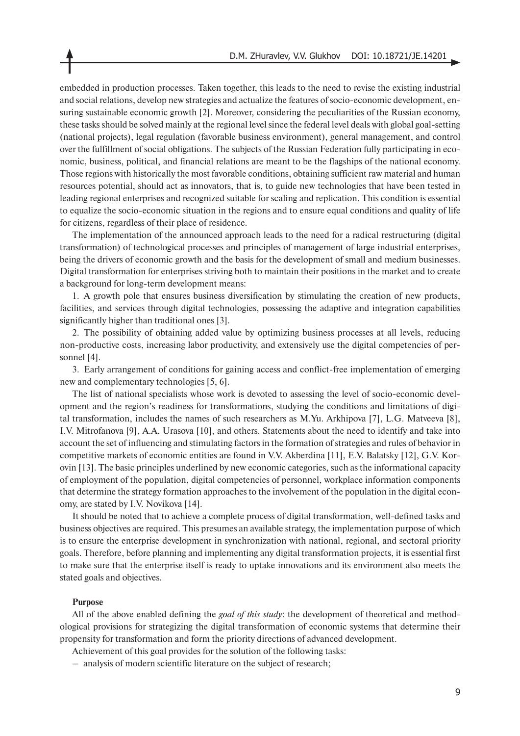embedded in production processes. Taken together, this leads to the need to revise the existing industrial and social relations, develop new strategies and actualize the features of socio-economic development, ensuring sustainable economic growth [2]. Moreover, considering the peculiarities of the Russian economy, these tasks should be solved mainly at the regional level since the federal level deals with global goal-setting (national projects), legal regulation (favorable business environment), general management, and control over the fulfillment of social obligations. The subjects of the Russian Federation fully participating in economic, business, political, and financial relations are meant to be the flagships of the national economy. Those regions with historically the most favorable conditions, obtaining sufficient raw material and human resources potential, should act as innovators, that is, to guide new technologies that have been tested in leading regional enterprises and recognized suitable for scaling and replication. This condition is essential to equalize the socio-economic situation in the regions and to ensure equal conditions and quality of life for citizens, regardless of their place of residence.

The implementation of the announced approach leads to the need for a radical restructuring (digital transformation) of technological processes and principles of management of large industrial enterprises, being the drivers of economic growth and the basis for the development of small and medium businesses. Digital transformation for enterprises striving both to maintain their positions in the market and to create a background for long-term development means:

1. A growth pole that ensures business diversification by stimulating the creation of new products, facilities, and services through digital technologies, possessing the adaptive and integration capabilities significantly higher than traditional ones [3].

2. The possibility of obtaining added value by optimizing business processes at all levels, reducing non-productive costs, increasing labor productivity, and extensively use the digital competencies of personnel [4].

3. Early arrangement of conditions for gaining access and conflict-free implementation of emerging new and complementary technologies [5, 6].

The list of national specialists whose work is devoted to assessing the level of socio-economic development and the region's readiness for transformations, studying the conditions and limitations of digital transformation, includes the names of such researchers as M.Yu. Arkhipova [7], L.G. Matveeva [8], I.V. Mitrofanova [9], A.A. Urasova [10], and others. Statements about the need to identify and take into account the set of influencing and stimulating factors in the formation of strategies and rules of behavior in competitive markets of economic entities are found in V.V. Akberdina [11], E.V. Balatsky [12], G.V. Korovin [13]. The basic principles underlined by new economic categories, such as the informational capacity of employment of the population, digital competencies of personnel, workplace information components that determine the strategy formation approaches to the involvement of the population in the digital economy, are stated by I.V. Novikova [14].

It should be noted that to achieve a complete process of digital transformation, well-defined tasks and business objectives are required. This presumes an available strategy, the implementation purpose of which is to ensure the enterprise development in synchronization with national, regional, and sectoral priority goals. Therefore, before planning and implementing any digital transformation projects, it is essential first to make sure that the enterprise itself is ready to uptake innovations and its environment also meets the stated goals and objectives.

#### **Purpose**

All of the above enabled defining the *goal of this study*: the development of theoretical and methodological provisions for strategizing the digital transformation of economic systems that determine their propensity for transformation and form the priority directions of advanced development.

Achievement of this goal provides for the solution of the following tasks:

– analysis of modern scientific literature on the subject of research;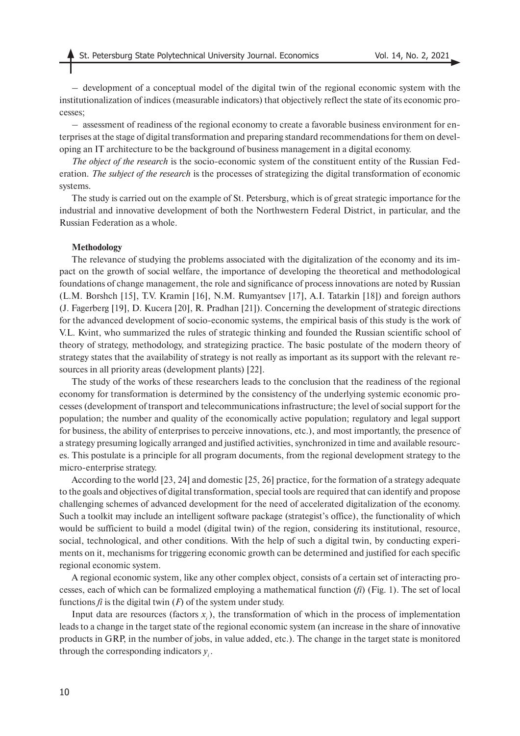– development of a conceptual model of the digital twin of the regional economic system with the institutionalization of indices (measurable indicators) that objectively reflect the state of its economic processes;

– assessment of readiness of the regional economy to create a favorable business environment for enterprises at the stage of digital transformation and preparing standard recommendations for them on developing an IT architecture to be the background of business management in a digital economy.

*The object of the research* is the socio-economic system of the constituent entity of the Russian Federation. *The subject of the research* is the processes of strategizing the digital transformation of economic systems.

The study is carried out on the example of St. Petersburg, which is of great strategic importance for the industrial and innovative development of both the Northwestern Federal District, in particular, and the Russian Federation as a whole.

#### **Methodology**

The relevance of studying the problems associated with the digitalization of the economy and its impact on the growth of social welfare, the importance of developing the theoretical and methodological foundations of change management, the role and significance of process innovations are noted by Russian (L.M. Borshch [15], T.V. Kramin [16], N.M. Rumyantsev [17], A.I. Tatarkin [18]) and foreign authors (J. Fagerberg [19], D. Kucera [20], R. Pradhan [21]). Concerning the development of strategic directions for the advanced development of socio-economic systems, the empirical basis of this study is the work of V.L. Kvint, who summarized the rules of strategic thinking and founded the Russian scientific school of theory of strategy, methodology, and strategizing practice. The basic postulate of the modern theory of strategy states that the availability of strategy is not really as important as its support with the relevant resources in all priority areas (development plants) [22].

The study of the works of these researchers leads to the conclusion that the readiness of the regional economy for transformation is determined by the consistency of the underlying systemic economic processes (development of transport and telecommunications infrastructure; the level of social support for the population; the number and quality of the economically active population; regulatory and legal support for business, the ability of enterprises to perceive innovations, etc.), and most importantly, the presence of a strategy presuming logically arranged and justified activities, synchronized in time and available resources. This postulate is a principle for all program documents, from the regional development strategy to the micro-enterprise strategy.

According to the world [23, 24] and domestic [25, 26] practice, for the formation of a strategy adequate to the goals and objectives of digital transformation, special tools are required that can identify and propose challenging schemes of advanced development for the need of accelerated digitalization of the economy. Such a toolkit may include an intelligent software package (strategist's office), the functionality of which would be sufficient to build a model (digital twin) of the region, considering its institutional, resource, social, technological, and other conditions. With the help of such a digital twin, by conducting experiments on it, mechanisms for triggering economic growth can be determined and justified for each specific regional economic system.

A regional economic system, like any other complex object, consists of a certain set of interacting processes, each of which can be formalized employing a mathematical function (*fi*) (Fig. 1). The set of local functions  $\hat{f}$  is the digital twin  $(F)$  of the system under study.

Input data are resources (factors  $x_i$ ), the transformation of which in the process of implementation leads to a change in the target state of the regional economic system (an increase in the share of innovative products in GRP, in the number of jobs, in value added, etc.). The change in the target state is monitored through the corresponding indicators *yi* .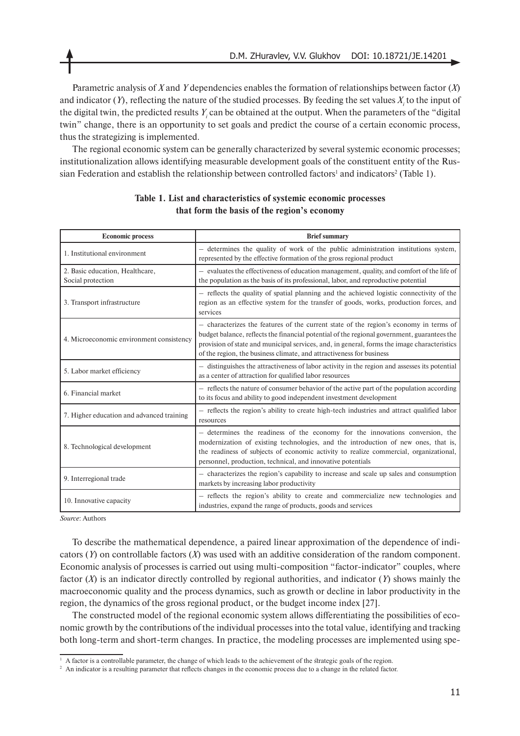Parametric analysis of *X* and *Y* dependencies enables the formation of relationships between factor (*X*) and indicator  $(Y)$ , reflecting the nature of the studied processes. By feeding the set values  $X_i$  to the input of the digital twin, the predicted results  $Y_i$  can be obtained at the output. When the parameters of the "digital" twin" change, there is an opportunity to set goals and predict the course of a certain economic process, thus the strategizing is implemented.

The regional economic system can be generally characterized by several systemic economic processes; institutionalization allows identifying measurable development goals of the constituent entity of the Russian Federation and establish the relationship between controlled factors<sup>1</sup> and indicators<sup>2</sup> (Table 1).

| <b>Economic process</b>                              | <b>Brief</b> summary                                                                                                                                                                                                                                                                                                                                        |  |  |  |  |
|------------------------------------------------------|-------------------------------------------------------------------------------------------------------------------------------------------------------------------------------------------------------------------------------------------------------------------------------------------------------------------------------------------------------------|--|--|--|--|
| 1. Institutional environment                         | - determines the quality of work of the public administration institutions system,<br>represented by the effective formation of the gross regional product                                                                                                                                                                                                  |  |  |  |  |
| 2. Basic education, Healthcare,<br>Social protection | - evaluates the effectiveness of education management, quality, and comfort of the life of<br>the population as the basis of its professional, labor, and reproductive potential                                                                                                                                                                            |  |  |  |  |
| 3. Transport infrastructure                          | - reflects the quality of spatial planning and the achieved logistic connectivity of the<br>region as an effective system for the transfer of goods, works, production forces, and<br>services                                                                                                                                                              |  |  |  |  |
| 4. Microeconomic environment consistency             | - characterizes the features of the current state of the region's economy in terms of<br>budget balance, reflects the financial potential of the regional government, guarantees the<br>provision of state and municipal services, and, in general, forms the image characteristics<br>of the region, the business climate, and attractiveness for business |  |  |  |  |
| 5. Labor market efficiency                           | - distinguishes the attractiveness of labor activity in the region and assesses its potential<br>as a center of attraction for qualified labor resources                                                                                                                                                                                                    |  |  |  |  |
| 6. Financial market                                  | - reflects the nature of consumer behavior of the active part of the population according<br>to its focus and ability to good independent investment development                                                                                                                                                                                            |  |  |  |  |
| 7. Higher education and advanced training            | - reflects the region's ability to create high-tech industries and attract qualified labor<br>resources                                                                                                                                                                                                                                                     |  |  |  |  |
| 8. Technological development                         | - determines the readiness of the economy for the innovations conversion, the<br>modernization of existing technologies, and the introduction of new ones, that is,<br>the readiness of subjects of economic activity to realize commercial, organizational,<br>personnel, production, technical, and innovative potentials                                 |  |  |  |  |
| 9. Interregional trade                               | - characterizes the region's capability to increase and scale up sales and consumption<br>markets by increasing labor productivity                                                                                                                                                                                                                          |  |  |  |  |
| 10. Innovative capacity                              | - reflects the region's ability to create and commercialize new technologies and<br>industries, expand the range of products, goods and services                                                                                                                                                                                                            |  |  |  |  |

## **Table 1. List and characteristics of systemic economic processes that form the basis of the region's economy**

*Source*: Authors

To describe the mathematical dependence, a paired linear approximation of the dependence of indicators (*Y*) on controllable factors (*X*) was used with an additive consideration of the random component. Economic analysis of processes is carried out using multi-composition "factor-indicator" couples, where factor (*X*) is an indicator directly controlled by regional authorities, and indicator (*Y*) shows mainly the macroeconomic quality and the process dynamics, such as growth or decline in labor productivity in the region, the dynamics of the gross regional product, or the budget income index [27].

The constructed model of the regional economic system allows differentiating the possibilities of economic growth by the contributions of the individual processes into the total value, identifying and tracking both long-term and short-term changes. In practice, the modeling processes are implemented using spe-

<sup>&</sup>lt;sup>1</sup> A factor is a controllable parameter, the change of which leads to the achievement of the strategic goals of the region.

<sup>&</sup>lt;sup>2</sup> An indicator is a resulting parameter that reflects changes in the economic process due to a change in the related factor.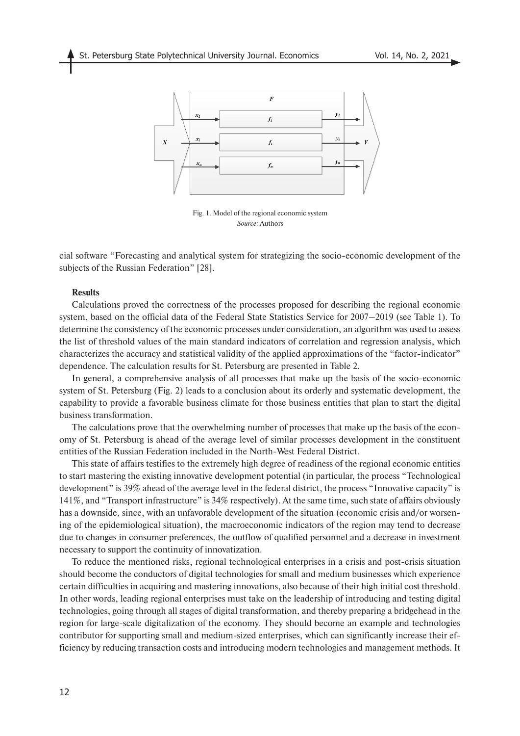

Fig. 1. Model of the regional economic system *Source*: Authors

cial software "Forecasting and analytical system for strategizing the socio-economic development of the subjects of the Russian Federation" [28].

## **Results**

Calculations proved the correctness of the processes proposed for describing the regional economic system, based on the official data of the Federal State Statistics Service for 2007–2019 (see Table 1). To determine the consistency of the economic processes under consideration, an algorithm was used to assess the list of threshold values of the main standard indicators of correlation and regression analysis, which characterizes the accuracy and statistical validity of the applied approximations of the "factor-indicator" dependence. The calculation results for St. Petersburg are presented in Table 2.

In general, a comprehensive analysis of all processes that make up the basis of the socio-economic system of St. Petersburg (Fig. 2) leads to a conclusion about its orderly and systematic development, the capability to provide a favorable business climate for those business entities that plan to start the digital business transformation.

The calculations prove that the overwhelming number of processes that make up the basis of the economy of St. Petersburg is ahead of the average level of similar processes development in the constituent entities of the Russian Federation included in the North-West Federal District.

This state of affairs testifies to the extremely high degree of readiness of the regional economic entities to start mastering the existing innovative development potential (in particular, the process "Technological development" is 39% ahead of the average level in the federal district, the process "Innovative capacity" is 141%, and "Transport infrastructure" is 34% respectively). At the same time, such state of affairs obviously has a downside, since, with an unfavorable development of the situation (economic crisis and/or worsening of the epidemiological situation), the macroeconomic indicators of the region may tend to decrease due to changes in consumer preferences, the outflow of qualified personnel and a decrease in investment necessary to support the continuity of innovatization.

To reduce the mentioned risks, regional technological enterprises in a crisis and post-crisis situation should become the conductors of digital technologies for small and medium businesses which experience certain difficulties in acquiring and mastering innovations, also because of their high initial cost threshold. In other words, leading regional enterprises must take on the leadership of introducing and testing digital technologies, going through all stages of digital transformation, and thereby preparing a bridgehead in the region for large-scale digitalization of the economy. They should become an example and technologies contributor for supporting small and medium-sized enterprises, which can significantly increase their efficiency by reducing transaction costs and introducing modern technologies and management methods. It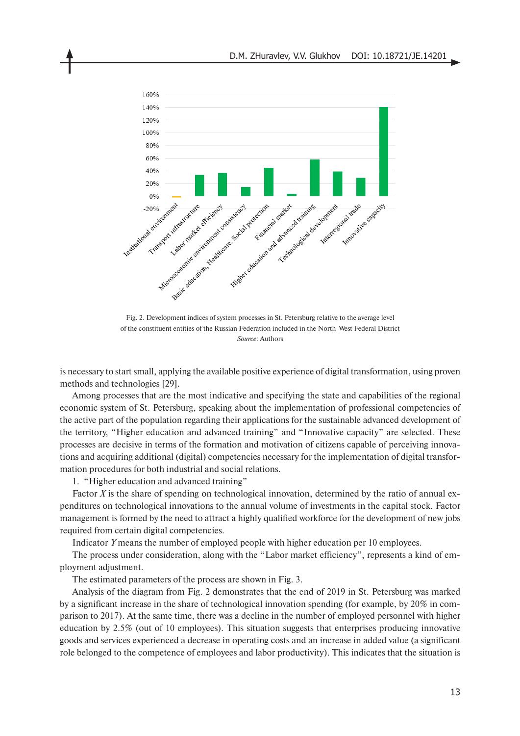

Fig. 2. Development indices of system processes in St. Petersburg relative to the average level of the constituent entities of the Russian Federation included in the North-West Federal District *Source*: Authors

is necessary to start small, applying the available positive experience of digital transformation, using proven methods and technologies [29].

Among processes that are the most indicative and specifying the state and capabilities of the regional economic system of St. Petersburg, speaking about the implementation of professional competencies of the active part of the population regarding their applications for the sustainable advanced development of the territory, "Higher education and advanced training" and "Innovative capacity" are selected. These processes are decisive in terms of the formation and motivation of citizens capable of perceiving innovations and acquiring additional (digital) competencies necessary for the implementation of digital transformation procedures for both industrial and social relations.

1. "Higher education and advanced training"

Factor *X* is the share of spending on technological innovation, determined by the ratio of annual expenditures on technological innovations to the annual volume of investments in the capital stock. Factor management is formed by the need to attract a highly qualified workforce for the development of new jobs required from certain digital competencies.

Indicator *Y* means the number of employed people with higher education per 10 employees.

The process under consideration, along with the "Labor market efficiency", represents a kind of employment adjustment.

The estimated parameters of the process are shown in Fig. 3.

Analysis of the diagram from Fig. 2 demonstrates that the end of 2019 in St. Petersburg was marked by a significant increase in the share of technological innovation spending (for example, by 20% in comparison to 2017). At the same time, there was a decline in the number of employed personnel with higher education by 2.5% (out of 10 employees). This situation suggests that enterprises producing innovative goods and services experienced a decrease in operating costs and an increase in added value (a significant role belonged to the competence of employees and labor productivity). This indicates that the situation is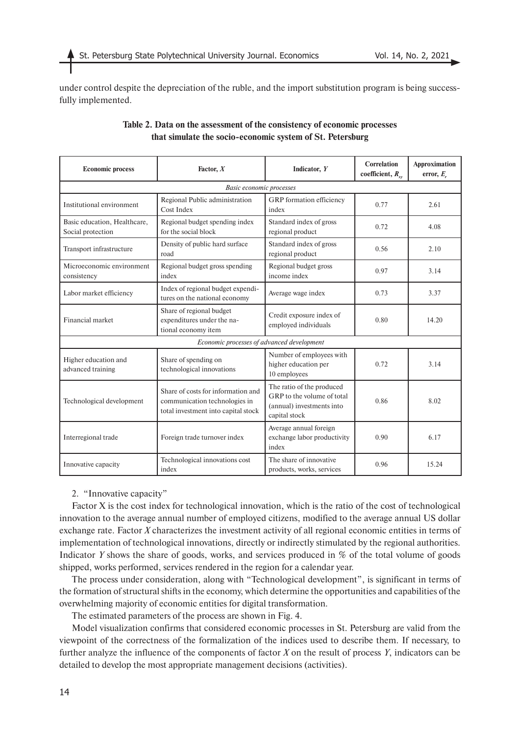under control despite the depreciation of the ruble, and the import substitution program is being successfully implemented.

| <b>Economic process</b>                           | Factor, $X$                                                                                                | Indicator, Y                                                                                          | Correlation<br>coefficient, $R_{\nu\nu}$ | Approximation<br>error, $E_{.}$ |  |
|---------------------------------------------------|------------------------------------------------------------------------------------------------------------|-------------------------------------------------------------------------------------------------------|------------------------------------------|---------------------------------|--|
| <b>Basic economic processes</b>                   |                                                                                                            |                                                                                                       |                                          |                                 |  |
| Institutional environment                         | Regional Public administration<br>Cost Index                                                               | GRP formation efficiency<br>index                                                                     | 0.77                                     | 2.61                            |  |
| Basic education, Healthcare,<br>Social protection | Regional budget spending index<br>for the social block                                                     | Standard index of gross<br>regional product                                                           | 0.72                                     | 4.08                            |  |
| Transport infrastructure                          | Density of public hard surface<br>road                                                                     | Standard index of gross<br>regional product                                                           | 0.56                                     | 2.10                            |  |
| Microeconomic environment<br>consistency          | Regional budget gross spending<br>index                                                                    | Regional budget gross<br>income index                                                                 | 0.97                                     | 3.14                            |  |
| Labor market efficiency                           | Index of regional budget expendi-<br>tures on the national economy                                         | Average wage index                                                                                    | 0.73                                     | 3.37                            |  |
| Financial market                                  | Share of regional budget<br>expenditures under the na-<br>tional economy item                              | Credit exposure index of<br>employed individuals                                                      | 0.80                                     | 14.20                           |  |
| Economic processes of advanced development        |                                                                                                            |                                                                                                       |                                          |                                 |  |
| Higher education and<br>advanced training         | Share of spending on<br>technological innovations                                                          | Number of employees with<br>higher education per<br>10 employees                                      | 0.72                                     | 3.14                            |  |
| Technological development                         | Share of costs for information and<br>communication technologies in<br>total investment into capital stock | The ratio of the produced<br>GRP to the volume of total<br>(annual) investments into<br>capital stock | 0.86                                     | 8.02                            |  |
| Interregional trade                               | Foreign trade turnover index                                                                               | Average annual foreign<br>exchange labor productivity<br>index                                        | 0.90                                     | 6.17                            |  |
| Innovative capacity                               | Technological innovations cost<br>index                                                                    | The share of innovative<br>products, works, services                                                  | 0.96                                     | 15.24                           |  |

## **Table 2. Data on the assessment of the consistency of economic processes that simulate the socio-economic system of St. Petersburg**

## 2. "Innovative capacity"

Factor X is the cost index for technological innovation, which is the ratio of the cost of technological innovation to the average annual number of employed citizens, modified to the average annual US dollar exchange rate. Factor *X* characterizes the investment activity of all regional economic entities in terms of implementation of technological innovations, directly or indirectly stimulated by the regional authorities. Indicator *Y* shows the share of goods, works, and services produced in % of the total volume of goods shipped, works performed, services rendered in the region for a calendar year.

The process under consideration, along with "Technological development", is significant in terms of the formation of structural shifts in the economy, which determine the opportunities and capabilities of the overwhelming majority of economic entities for digital transformation.

The estimated parameters of the process are shown in Fig. 4.

Model visualization confirms that considered economic processes in St. Petersburg are valid from the viewpoint of the correctness of the formalization of the indices used to describe them. If necessary, to further analyze the influence of the components of factor *X* on the result of process *Y*, indicators can be detailed to develop the most appropriate management decisions (activities).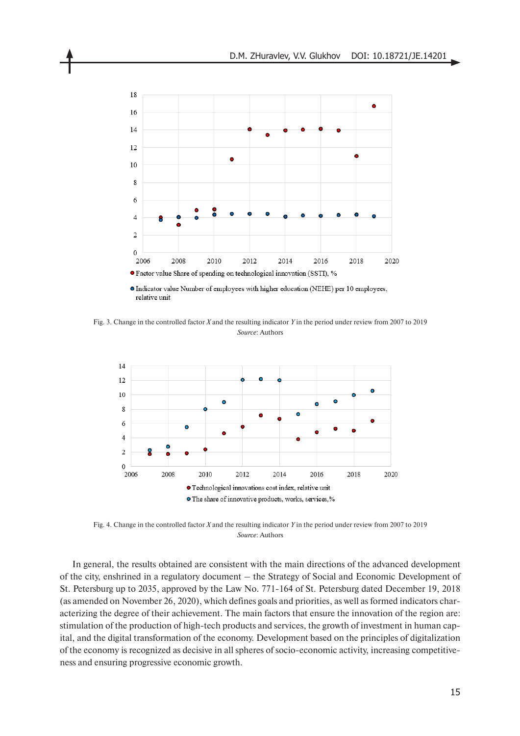

Fig. 3. Change in the controlled factor *X* and the resulting indicator *Y* in the period under review from 2007 to 2019 *Source*: Authors



Fig. 4. Change in the controlled factor *X* and the resulting indicator *Y* in the period under review from 2007 to 2019 *Source*: Authors

In general, the results obtained are consistent with the main directions of the advanced development of the city, enshrined in a regulatory document – the Strategy of Social and Economic Development of St. Petersburg up to 2035, approved by the Law No. 771-164 of St. Petersburg dated December 19, 2018 (as amended on November 26, 2020), which defines goals and priorities, as well as formed indicators characterizing the degree of their achievement. The main factors that ensure the innovation of the region are: stimulation of the production of high-tech products and services, the growth of investment in human capital, and the digital transformation of the economy. Development based on the principles of digitalization of the economy is recognized as decisive in all spheres of socio-economic activity, increasing competitiveness and ensuring progressive economic growth.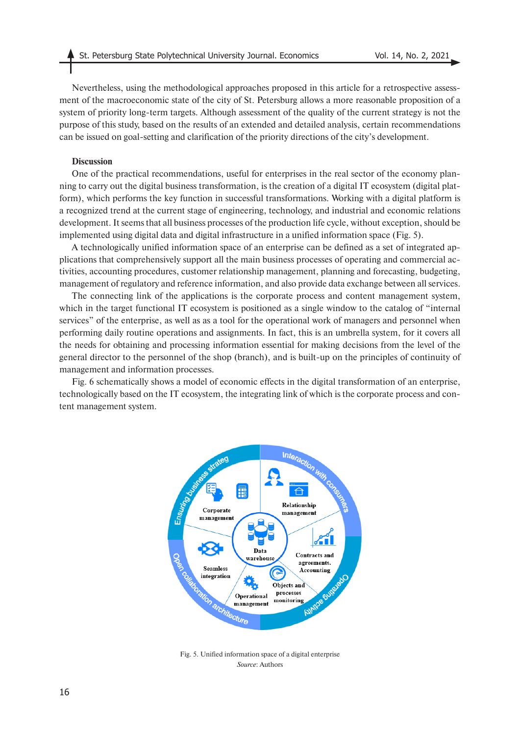Nevertheless, using the methodological approaches proposed in this article for a retrospective assessment of the macroeconomic state of the city of St. Petersburg allows a more reasonable proposition of a system of priority long-term targets. Although assessment of the quality of the current strategy is not the purpose of this study, based on the results of an extended and detailed analysis, certain recommendations can be issued on goal-setting and clarification of the priority directions of the city's development.

### **Discussion**

One of the practical recommendations, useful for enterprises in the real sector of the economy planning to carry out the digital business transformation, is the creation of a digital IT ecosystem (digital platform), which performs the key function in successful transformations. Working with a digital platform is a recognized trend at the current stage of engineering, technology, and industrial and economic relations development. It seems that all business processes of the production life cycle, without exception, should be implemented using digital data and digital infrastructure in a unified information space (Fig. 5).

A technologically unified information space of an enterprise can be defined as a set of integrated applications that comprehensively support all the main business processes of operating and commercial activities, accounting procedures, customer relationship management, planning and forecasting, budgeting, management of regulatory and reference information, and also provide data exchange between all services.

The connecting link of the applications is the corporate process and content management system, which in the target functional IT ecosystem is positioned as a single window to the catalog of "internal" services" of the enterprise, as well as as a tool for the operational work of managers and personnel when performing daily routine operations and assignments. In fact, this is an umbrella system, for it covers all the needs for obtaining and processing information essential for making decisions from the level of the general director to the personnel of the shop (branch), and is built-up on the principles of continuity of management and information processes.

Fig. 6 schematically shows a model of economic effects in the digital transformation of an enterprise, technologically based on the IT ecosystem, the integrating link of which is the corporate process and content management system.



Fig. 5. Unified information space of a digital enterprise *Source*: Authors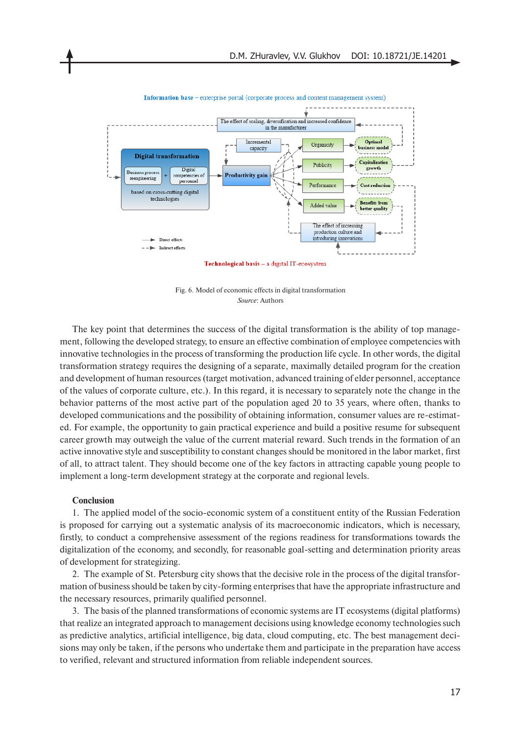

Information base - enterprise portal (corporate process and content management system)

Technological basis - a digital IT-ecosystem

Fig. 6. Model of economic effects in digital transformation *Source*: Authors

The key point that determines the success of the digital transformation is the ability of top management, following the developed strategy, to ensure an effective combination of employee competencies with innovative technologies in the process of transforming the production life cycle. In other words, the digital transformation strategy requires the designing of a separate, maximally detailed program for the creation and development of human resources (target motivation, advanced training of elder personnel, acceptance of the values of corporate culture, etc.). In this regard, it is necessary to separately note the change in the behavior patterns of the most active part of the population aged 20 to 35 years, where often, thanks to developed communications and the possibility of obtaining information, consumer values are re-estimated. For example, the opportunity to gain practical experience and build a positive resume for subsequent career growth may outweigh the value of the current material reward. Such trends in the formation of an active innovative style and susceptibility to constant changes should be monitored in the labor market, first of all, to attract talent. They should become one of the key factors in attracting capable young people to implement a long-term development strategy at the corporate and regional levels.

## **Conclusion**

1. The applied model of the socio-economic system of a constituent entity of the Russian Federation is proposed for carrying out a systematic analysis of its macroeconomic indicators, which is necessary, firstly, to conduct a comprehensive assessment of the regions readiness for transformations towards the digitalization of the economy, and secondly, for reasonable goal-setting and determination priority areas of development for strategizing.

2. The example of St. Petersburg city shows that the decisive role in the process of the digital transformation of business should be taken by city-forming enterprises that have the appropriate infrastructure and the necessary resources, primarily qualified personnel.

3. The basis of the planned transformations of economic systems are IT ecosystems (digital platforms) that realize an integrated approach to management decisions using knowledge economy technologies such as predictive analytics, artificial intelligence, big data, cloud computing, etc. The best management decisions may only be taken, if the persons who undertake them and participate in the preparation have access to verified, relevant and structured information from reliable independent sources.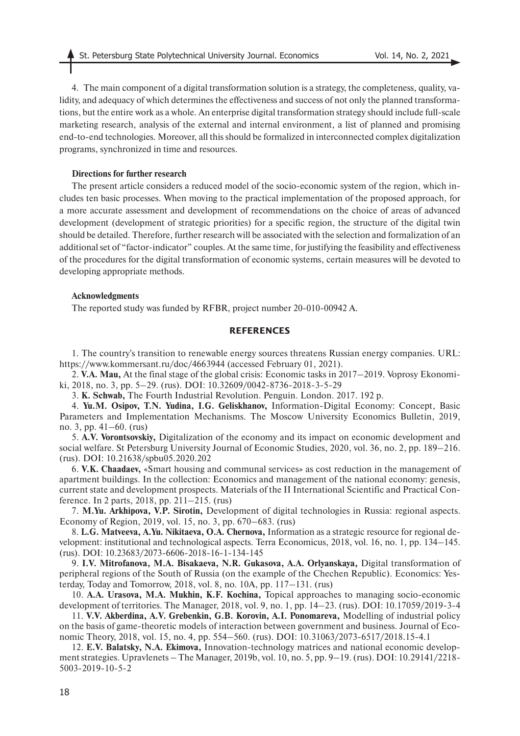4. The main component of a digital transformation solution is a strategy, the completeness, quality, validity, and adequacy of which determines the effectiveness and success of not only the planned transformations, but the entire work as a whole. An enterprise digital transformation strategy should include full-scale marketing research, analysis of the external and internal environment, a list of planned and promising end-to-end technologies. Moreover, all this should be formalized in interconnected complex digitalization programs, synchronized in time and resources.

## **Directions for further research**

The present article considers a reduced model of the socio-economic system of the region, which includes ten basic processes. When moving to the practical implementation of the proposed approach, for a more accurate assessment and development of recommendations on the choice of areas of advanced development (development of strategic priorities) for a specific region, the structure of the digital twin should be detailed. Therefore, further research will be associated with the selection and formalization of an additional set of "factor-indicator" couples. At the same time, for justifying the feasibility and effectiveness of the procedures for the digital transformation of economic systems, certain measures will be devoted to developing appropriate methods.

### **Acknowledgments**

The reported study was funded by RFBR, project number 20-010-00942 А.

## **REFERENCES**

1. The country's transition to renewable energy sources threatens Russian energy companies. URL: https://www.kommersant.ru/doc/4663944 (accessed February 01, 2021).

2. **V.A. Mau,** At the final stage of the global crisis: Economic tasks in 2017–2019. Voprosy Ekonomiki, 2018, no. 3, pp. 5–29. (rus). DOI: 10.32609/0042-8736-2018-3-5-29

3. **K. Schwab,** The Fourth Industrial Revolution. Penguin. London. 2017. 192 p.

4. **Yu.M. Osipov, T.N. Yudina, I.G. Geliskhanov,** Information-Digital Economy: Concept, Basic Parameters and Implementation Mechanisms. The Moscow University Economics Bulletin, 2019, no. 3, pp. 41–60. (rus)

5. **A.V. Vorontsovskiy,** Digitalization of the economy and its impact on economic development and social welfare. St Petersburg University Journal of Economic Studies, 2020, vol. 36, no. 2, pp. 189–216. (rus). DOI: 10.21638/spbu05.2020.202

6. **V.K. Chaadaev,** «Smart housing and communal services» as cost reduction in the management of apartment buildings. In the collection: Economics and management of the national economy: genesis, current state and development prospects. Materials of the II International Scientific and Practical Conference. In 2 parts, 2018, pp. 211–215. (rus)

7. **M.Yu. Arkhipova, V.P. Sirotin,** Development of digital technologies in Russia: regional aspects. Economy of Region, 2019, vol. 15, no. 3, pp. 670–683. (rus)

8. **L.G. Matveeva, A.Yu. Nikitaeva, O.A. Chernova,** Information as a strategic resource for regional development: institutional and technological aspects. Terra Economicus, 2018, vol. 16, no. 1, pp. 134–145. (rus). DOI: 10.23683/2073-6606-2018-16-1-134-145

9. **I.V. Mitrofanova, M.A. Bisakaeva, N.R. Gukasova, A.A. Orlyanskaya,** Digital transformation of peripheral regions of the South of Russia (on the example of the Chechen Republic). Economics: Yesterday, Today and Tomorrow, 2018, vol. 8, no. 10A, pp. 117–131. (rus)

10. **A.A. Urasova, M.A. Mukhin, K.F. Kochina,** Topical approaches to managing socio-economic development of territories. The Manager, 2018, vol. 9, no. 1, pp. 14–23. (rus). DOI: 10.17059/2019-3-4

11. **V.V. Akberdina, A.V. Grebenkin, G.B. Korovin, A.I. Ponomareva,** Modelling of industrial policy on the basis of game-theoretic models of interaction between government and business. Journal of Economic Theory, 2018, vol. 15, no. 4, pp. 554–560. (rus). DOI: 10.31063/2073-6517/2018.15-4.1

12. **E.V. Balatsky, N.A. Ekimova,** Innovation-technology matrices and national economic development strategies. Upravlenets – The Manager, 2019b, vol. 10, no. 5, pp. 9–19. (rus). DOI: 10.29141/2218- 5003-2019-10-5-2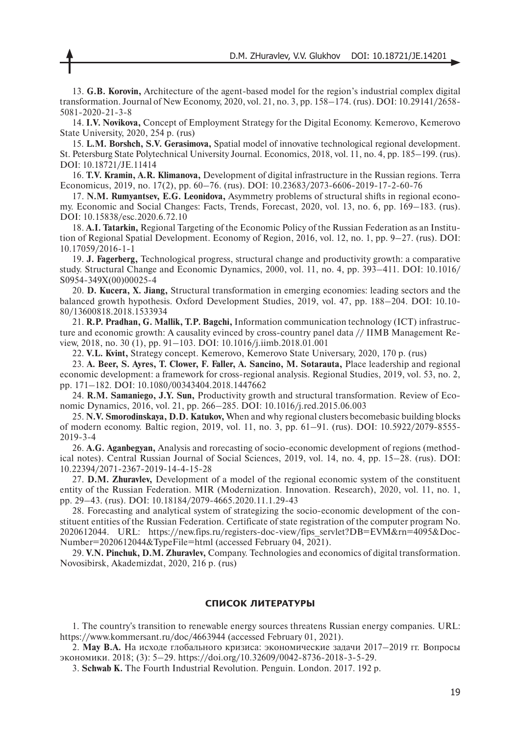13. **G.B. Korovin,** Architecture of the agent-based model for the region's industrial complex digital transformation. Journal of New Economy, 2020, vol. 21, no. 3, pp. 158–174. (rus). DOI: 10.29141/2658- 5081-2020-21-3-8

14. **I.V. Novikova,** Concept of Employment Strategy for the Digital Economy. Kemerovo, Kemerovo State University, 2020, 254 p. (rus)

15. **L.M. Borshch, S.V. Gerasimova,** Spatial model of innovative technological regional development. St. Petersburg State Polytechnical University Journal. Economics, 2018, vol. 11, no. 4, pp. 185–199. (rus). DOI: 10.18721/JE.11414

16. **T.V. Kramin, A.R. Klimanova,** Development of digital infrastructure in the Russian regions. Terra Economicus, 2019, no. 17(2), pp. 60–76. (rus). DOI: 10.23683/2073-6606-2019-17-2-60-76

17. **N.M. Rumyantsev, E.G. Leonidova,** Asymmetry problems of structural shifts in regional economy. Economic and Social Changes: Facts, Trends, Forecast, 2020, vol. 13, no. 6, pp. 169–183. (rus). DOI: 10.15838/esc.2020.6.72.10

18. **A.I. Tatarkin,** Regional Targeting of the Economic Policy of the Russian Federation as an Institution of Regional Spatial Development. Economy of Region, 2016, vol. 12, no. 1, pp. 9–27. (rus). DOI: 10.17059/2016-1-1

19. **J. Fagerberg,** Technological progress, structural change and productivity growth: a comparative study. Structural Change and Economic Dynamics, 2000, vol. 11, no. 4, pp. 393–411. DOI: 10.1016/ S0954-349X(00)00025-4

20. **D. Kucera, X. Jiang,** Structural transformation in emerging economies: leading sectors and the balanced growth hypothesis. Oxford Development Studies, 2019, vol. 47, pp. 188–204. DOI: 10.10- 80/13600818.2018.1533934

21. **R.P. Pradhan, G. Mallik, T.P. Bagchi,** Information communication technology (ICT) infrastructure and economic growth: A causality evinced by cross-country panel data // IIMB Management Review, 2018, no. 30 (1), pp. 91–103. DOI: 10.1016/j.iimb.2018.01.001

22. **V.L. Kvint,** Strategy concept. Kemerovo, Kemerovo State Universary, 2020, 170 p. (rus)

23. **A. Beer, S. Ayres, T. Clower, F. Faller, A. Sancino, M. Sotarauta,** Place leadership and regional economic development: a framework for cross-regional analysis. Regional Studies, 2019, vol. 53, no. 2, pp. 171–182. DOI: 10.1080/00343404.2018.1447662

24. **R.M. Samaniego, J.Y. Sun,** Productivity growth and structural transformation. Review of Economic Dynamics, 2016, vol. 21, pp. 266–285. DOI: 10.1016/j.red.2015.06.003

25. **N.V. Smorodinskaya, D.D. Katukov,** When and why regional clusters becomebasic building blocks of modern economy. Baltic region, 2019, vol. 11, no. 3, pp. 61–91. (rus). DOI: 10.5922/2079-8555- 2019-3-4

26. **A.G. Aganbegyan,** Analysis and rorecasting of socio-economic development of regions (methodical notes). Central Russian Journal of Social Sciences, 2019, vol. 14, no. 4, pp. 15–28. (rus). DOI: 10.22394/2071-2367-2019-14-4-15-28

27. **D.M. Zhuravlev,** Development of a model of the regional economic system of the constituent entity of the Russian Federation. MIR (Modernization. Innovation. Research), 2020, vol. 11, no. 1, pp. 29–43. (rus). DOI: 10.18184/2079-4665.2020.11.1.29-43

28. Forecasting and analytical system of strategizing the socio-economic development of the constituent entities of the Russian Federation. Certificate of state registration of the computer program No. 2020612044. URL: https://new.fips.ru/registers-doc-view/fips\_servlet?DB=EVM&rn=4095&Doc-Number=2020612044&TypeFile=html (accessed February 04, 2021).

29. **V.N. Pinchuk, D.M. Zhuravlev,** Company. Technologies and economics of digital transformation. Novosibirsk, Akademizdat, 2020, 216 p. (rus)

## **СПИСОК ЛИТЕРАТУРЫ**

1. The country's transition to renewable energy sources threatens Russian energy companies. URL: https://www.kommersant.ru/doc/4663944 (accessed February 01, 2021).

2. **Мау В.А.** На исходе глобального кризиса: экономические задачи 2017–2019 гг. Вопросы экономики. 2018; (3): 5–29. https://doi.org/10.32609/0042-8736-2018-3-5-29.

3. **Schwab K.** The Fourth Industrial Revolution. Penguin. London. 2017. 192 p.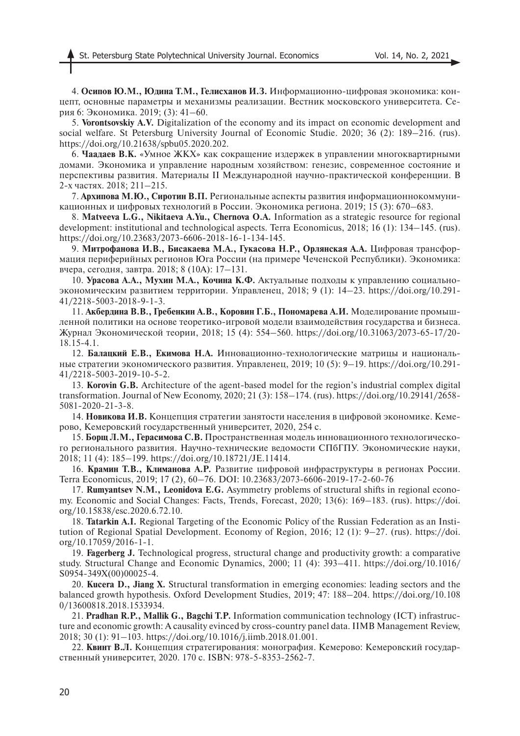4. **Осипов Ю.М., Юдина Т.М., Гелисханов И.З.** Информационно-цифровая экономика: концепт, основные параметры и механизмы реализации. Вестник московского университета. Серия 6: Экономика. 2019; (3): 41–60.

5. **Vorontsovskiy A.V.** Digitalization of the economy and its impact on economic development and social welfare. St Petersburg University Journal of Economic Studie. 2020; 36 (2): 189–216. (rus). https://doi.org/10.21638/spbu05.2020.202.

6. **Чаадаев В.К.** «Умное ЖКХ» как сокращение издержек в управлении многоквартирными домами. Экономика и управление народным хозяйством: генезис, современное состояние и перспективы развития. Материалы II Международной научно-практической конференции. В 2-х частях. 2018; 211–215.

7. **Архипова М.Ю., Сиротин В.П.** Региональные аспекты развития информационнокоммуникационных и цифровых технологий в России. Экономика региона. 2019; 15 (3): 670–683.

8. **Matveeva L.G., Nikitaeva A.Yu., Chernova O.A.** Information as a strategic resource for regional development: institutional and technological aspects. Terra Economicus, 2018; 16 (1): 134–145. (rus). https://doi.org/10.23683/2073-6606-2018-16-1-134-145.

9. **Митрофанова И.В., Бисакаева М.А., Гукасова Н.Р., Орлянская А.А.** Цифровая трансформация периферийных регионов Юга России (на примере Чеченской Республики). Экономика: вчера, сегодня, завтра. 2018; 8 (10А): 17–131.

10. **Урасова А.А., Мухин М.А., Кочина К.Ф.** Актуальные подходы к управлению социальноэкономическим развитием территории. Управленец, 2018; 9 (1): 14–23. https://doi.org/10.291- 41/2218-5003-2018-9-1-3.

11. **Акбердина В.В., Гребенкин А.В., Коровин Г.Б., Пономарева А.И.** Моделирование промышленной политики на основе теоретико-игровой модели взаимодействия государства и бизнеса. Журнал Экономической теории, 2018; 15 (4): 554–560. https://doi.org/10.31063/2073-65-17/20- 18.15-4.1.

12. **Балацкий Е.В., Екимова Н.А.** Инновационно-технологические матрицы и национальные стратегии экономического развития. Управленец, 2019; 10 (5): 9-19. https://doi.org/10.291-41/2218-5003-2019-10-5-2.

13. **Korovin G.B.** Architecture of the agent-based model for the region's industrial complex digital transformation. Journal of New Economy, 2020; 21 (3): 158–174. (rus). https://doi.org/10.29141/2658- 5081-2020-21-3-8.

14. **Новикова И.В.** Концепция стратегии занятости населения в цифровой экономике. Кемерово, Кемеровский государственный университет, 2020, 254 с.

15. **Борщ Л.М., Герасимова С.В.** Пространственная модель инновационного технологического регионального развития. Научно-технические ведомости СПбГПУ. Экономические науки, 2018; 11 (4): 185–199. https://doi.org/10.18721/JE.11414.

16. **Крамин Т.В., Климанова А.Р.** Развитие цифровой инфраструктуры в регионах России. Terra Economicus, 2019; 17 (2), 60–76. DOI: 10.23683/2073-6606-2019-17-2-60-76

17. **Rumyantsev N.M., Leonidova E.G.** Asymmetry problems of structural shifts in regional economy. Economic and Social Changes: Facts, Trends, Forecast, 2020; 13(6): 169–183. (rus). https://doi. org/10.15838/esc.2020.6.72.10.

18. **Tatarkin A.I.** Regional Targeting of the Economic Policy of the Russian Federation as an Institution of Regional Spatial Development. Economy of Region, 2016; 12 (1): 9–27. (rus). https://doi. org/10.17059/2016-1-1.

19. **Fagerberg J.** Technological progress, structural change and productivity growth: a comparative study. Structural Change and Economic Dynamics, 2000; 11 (4): 393–411. https://doi.org/10.1016/ S0954-349X(00)00025-4.

20. **Kucera D., Jiang X.** Structural transformation in emerging economies: leading sectors and the balanced growth hypothesis. Oxford Development Studies, 2019; 47: 188–204. https://doi.org/10.108 0/13600818.2018.1533934.

21. **Pradhan R.P., Mallik G., Bagchi T.P.** Information communication technology (ICT) infrastructure and economic growth: A causality evinced by cross-country panel data. IIMB Management Review, 2018; 30 (1): 91–103. https://doi.org/10.1016/j.iimb.2018.01.001.

22. **Квинт В.Л.** Концепция стратегирования: монография. Кемерово: Кемеровский государственный университет, 2020. 170 с. ISBN: 978-5-8353-2562-7.